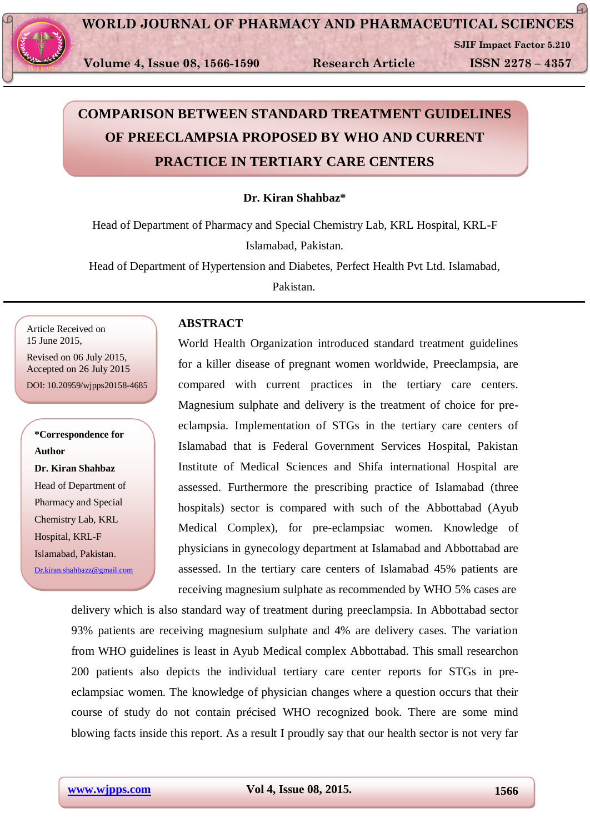

**SJIF Impact Factor 5.210**

 $\Omega$ 

# **COMPARISON BETWEEN STANDARD TREATMENT GUIDELINES OF PREECLAMPSIA PROPOSED BY WHO AND CURRENT PRACTICE IN TERTIARY CARE CENTERS**

## **Dr. Kiran Shahbaz\***

Head of Department of Pharmacy and Special Chemistry Lab, KRL Hospital, KRL-F Islamabad, Pakistan.

Head of Department of Hypertension and Diabetes, Perfect Health Pvt Ltd. Islamabad,

Pakistan.

Article Received on 15 June 2015,

Revised on 06 July 2015, Accepted on 26 July 2015

DOI: 10.20959/wjpps20158-4685

**\*Correspondence for Author Dr. Kiran Shahbaz**  Head of Department of Pharmacy and Special Chemistry Lab, KRL Hospital, KRL-F Islamabad, Pakistan. [Dr.kiran.shahbazz@gmail.com](mailto:Dr.kiran.shahbazz@gmail.com)

# **ABSTRACT**

World Health Organization introduced standard treatment guidelines for a killer disease of pregnant women worldwide, Preeclampsia, are compared with current practices in the tertiary care centers. Magnesium sulphate and delivery is the treatment of choice for preeclampsia. Implementation of STGs in the tertiary care centers of Islamabad that is Federal Government Services Hospital, Pakistan Institute of Medical Sciences and Shifa international Hospital are assessed. Furthermore the prescribing practice of Islamabad (three hospitals) sector is compared with such of the Abbottabad (Ayub Medical Complex), for pre-eclampsiac women. Knowledge of physicians in gynecology department at Islamabad and Abbottabad are assessed. In the tertiary care centers of Islamabad 45% patients are receiving magnesium sulphate as recommended by WHO 5% cases are

delivery which is also standard way of treatment during preeclampsia. In Abbottabad sector 93% patients are receiving magnesium sulphate and 4% are delivery cases. The variation from WHO guidelines is least in Ayub Medical complex Abbottabad. This small researchon 200 patients also depicts the individual tertiary care center reports for STGs in preeclampsiac women. The knowledge of physician changes where a question occurs that their course of study do not contain précised WHO recognized book. There are some mind blowing facts inside this report. As a result I proudly say that our health sector is not very far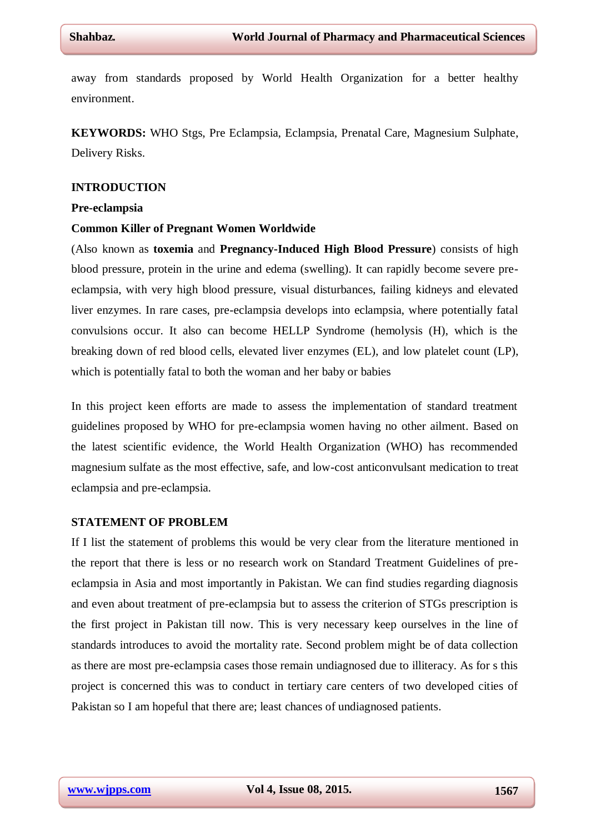away from standards proposed by World Health Organization for a better healthy environment.

**KEYWORDS:** WHO Stgs, Pre Eclampsia, Eclampsia, Prenatal Care, Magnesium Sulphate, Delivery Risks.

## **INTRODUCTION**

#### **Pre-eclampsia**

#### **Common Killer of Pregnant Women Worldwide**

(Also known as **toxemia** and **Pregnancy-Induced High Blood Pressure**) consists of high blood pressure, protein in the urine and edema (swelling). It can rapidly become severe preeclampsia, with very high blood pressure, visual disturbances, failing kidneys and elevated liver enzymes. In rare cases, pre-eclampsia develops into eclampsia, where potentially fatal convulsions occur. It also can become HELLP Syndrome (hemolysis (H), which is the breaking down of red blood cells, elevated liver enzymes (EL), and low platelet count (LP), which is potentially fatal to both the woman and her baby or babies

In this project keen efforts are made to assess the implementation of standard treatment guidelines proposed by WHO for pre-eclampsia women having no other ailment. Based on the latest scientific evidence, the World Health Organization (WHO) has recommended magnesium sulfate as the most effective, safe, and low-cost anticonvulsant medication to treat eclampsia and pre-eclampsia.

#### **STATEMENT OF PROBLEM**

If I list the statement of problems this would be very clear from the literature mentioned in the report that there is less or no research work on Standard Treatment Guidelines of preeclampsia in Asia and most importantly in Pakistan. We can find studies regarding diagnosis and even about treatment of pre-eclampsia but to assess the criterion of STGs prescription is the first project in Pakistan till now. This is very necessary keep ourselves in the line of standards introduces to avoid the mortality rate. Second problem might be of data collection as there are most pre-eclampsia cases those remain undiagnosed due to illiteracy. As for s this project is concerned this was to conduct in tertiary care centers of two developed cities of Pakistan so I am hopeful that there are; least chances of undiagnosed patients.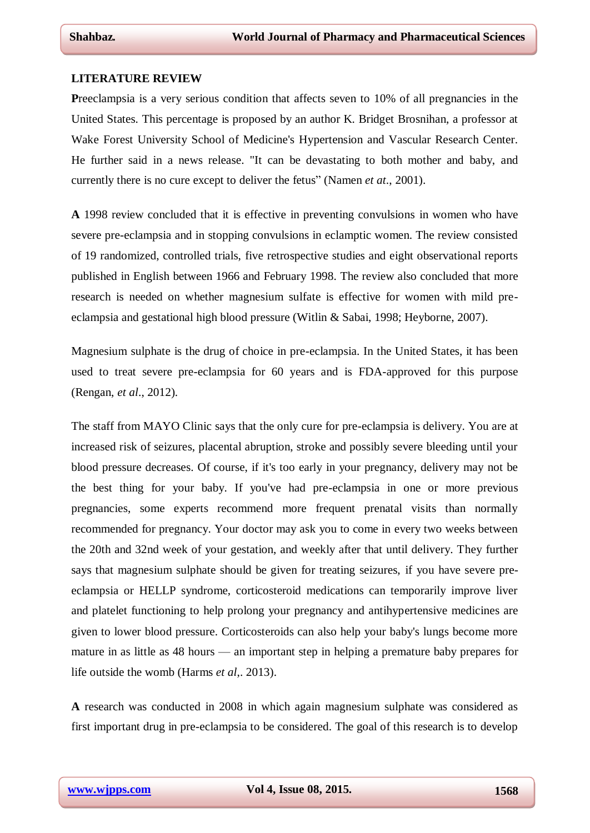#### **LITERATURE REVIEW**

P[reeclampsia](http://www.medicinenet.com/script/main/art.asp?articlekey=7441) is a very serious condition that affects seven to 10% of all pregnancies in the United States. This percentage is proposed by an author K. Bridget Brosnihan, a professor at Wake Forest University School of Medicine's Hypertension and Vascular Research Center. He further said in a news release. "It can be devastating to both mother and baby, and currently there is no cure except to deliver the [fetus"](http://www.medicinenet.com/script/main/art.asp?articlekey=3424) (Namen *et at*., 2001).

**A** 1998 review concluded that it is effective in preventing convulsions in women who have severe pre-eclampsia and in stopping convulsions in eclamptic women. The review consisted of 19 randomized, controlled trials, five retrospective studies and eight observational reports published in English between 1966 and February 1998. The review also concluded that more research is needed on whether magnesium sulfate is effective for women with mild preeclampsia and gestational high blood pressure (Witlin & Sabai, 1998; Heyborne, 2007).

Magnesium sulphate is the drug of choice in pre-eclampsia. In the United States, it has been used to treat severe pre-eclampsia for 60 years and is FDA-approved for this purpose (Rengan, *et al*., 2012).

The staff from MAYO Clinic says that the only cure for pre-eclampsia is delivery. You are at increased risk of seizures, placental abruption, stroke and possibly severe bleeding until your blood pressure decreases. Of course, if it's too early in your pregnancy, delivery may not be the best thing for your baby. If you've had pre-eclampsia in one or more previous pregnancies, some experts recommend more frequent prenatal visits than normally recommended for pregnancy. Your doctor may ask you to come in every two weeks between the 20th and 32nd week of your gestation, and weekly after that until delivery. They further says that magnesium sulphate should be given for treating seizures, if you have severe preeclampsia or HELLP syndrome, corticosteroid medications can temporarily improve liver and platelet functioning to help prolong your pregnancy and antihypertensive medicines are given to lower blood pressure. Corticosteroids can also help your baby's lungs become more mature in as little as 48 hours — an important step in helping a premature baby prepares for life outside the womb (Harms *et al*,. 2013).

**A** research was conducted in 2008 in which again magnesium sulphate was considered as first important drug in pre-eclampsia to be considered. The goal of this research is to develop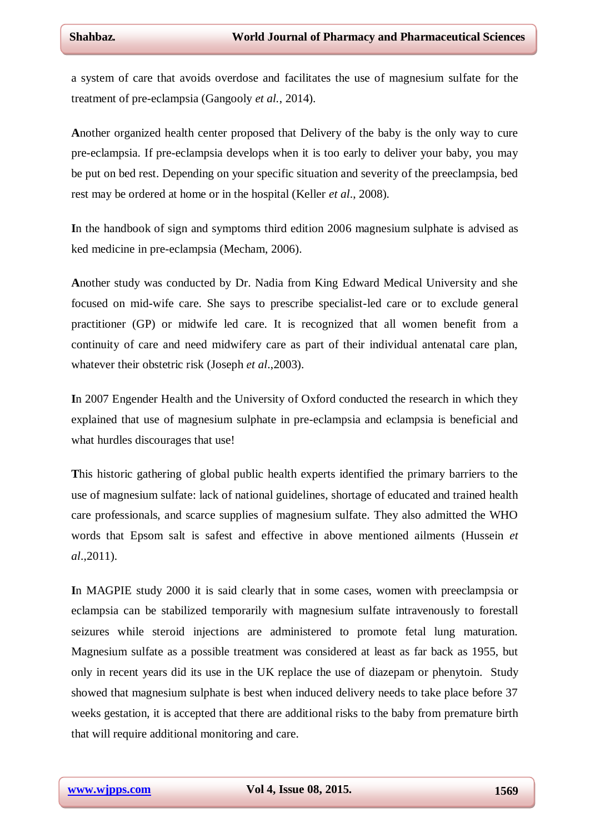a system of care that avoids overdose and facilitates the use of magnesium sulfate for the treatment of pre-eclampsia (Gangooly *et al.*, 2014).

**A**nother organized health center proposed that Delivery of the baby is the only way to cure [pre-eclampsia.](http://organizedwisdom.com/Preeclampsia) If [pre-eclampsia](http://organizedwisdom.com/Preeclampsia) develops when it is too early to deliver your baby, you may be put on [bed rest.](http://organizedwisdom.com/Bed_rest) Depending on your specific situation and severity of the preeclampsia, bed rest may be ordered at home or in the hospital (Keller *et al*., 2008).

**I**n the handbook of sign and symptoms third edition 2006 magnesium sulphate is advised as ked medicine in pre-eclampsia (Mecham, 2006).

**A**nother study was conducted by Dr. Nadia from King Edward Medical University and she focused on mid-wife care. She says to prescribe specialist-led care or to exclude general practitioner (GP) or midwife led care. It is recognized that all women benefit from a continuity of care and need midwifery care as part of their individual antenatal care plan, whatever their obstetric risk (Joseph *et al*.,2003).

**I**n 2007 Engender Health and the University of Oxford conducted the research in which they explained that use of magnesium sulphate in pre-eclampsia and eclampsia is beneficial and what hurdles discourages that use!

**T**his historic gathering of global public health experts identified the primary barriers to the use of magnesium sulfate: lack of national guidelines, shortage of educated and trained health care professionals, and scarce supplies of magnesium sulfate. They also admitted the WHO words that Epsom salt is safest and effective in above mentioned ailments (Hussein *et al*.,2011).

**I**n MAGPIE study 2000 it is said clearly that in some cases, women with preeclampsia or eclampsia can be stabilized temporarily with [magnesium sulfate](http://en.wikipedia.org/wiki/Magnesium_sulfate) intravenously to forestall seizures while steroid injections are administered to promote fetal lung maturation. Magnesium sulfate as a possible treatment was considered at least as far back as 1955, but only in recent years did its use in the UK replace the use of [diazepam](http://en.wikipedia.org/wiki/Diazepam) or [phenytoin.](http://en.wikipedia.org/wiki/Phenytoin) Study showed that magnesium sulphate is best when induced delivery needs to take place before 37 weeks gestation, it is accepted that there are additional risks to the baby from [premature birth](http://en.wikipedia.org/wiki/Premature_birth) that will require additional monitoring and care.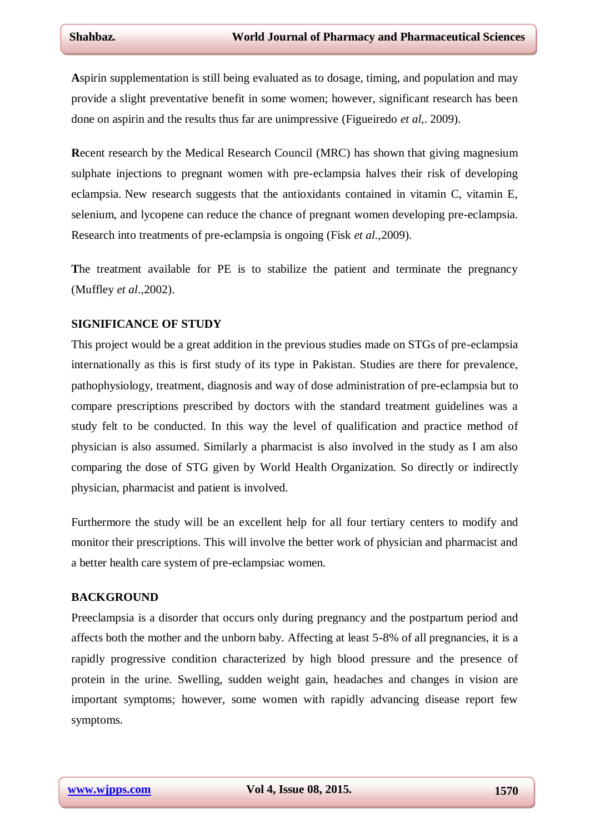**A**spirin supplementation is still being evaluated as to dosage, timing, and population and may provide a slight preventative benefit in some women; however, significant research has been done on aspirin and the results thus far are unimpressive (Figueiredo *et al*,. 2009).

**R**ecent research by the Medical Research Council (MRC) has shown that giving magnesium sulphate injections to pregnant women with pre-eclampsia halves their risk of developing eclampsia. New research suggests that the antioxidants contained in vitamin C, vitamin E, selenium, and lycopene can reduce the chance of pregnant women developing pre-eclampsia. Research into treatments of pre-eclampsia is ongoing (Fisk *et al.*,2009).

**T**he treatment available for PE is to stabilize the patient and terminate the pregnancy (Muffley *et al*.,2002).

## **SIGNIFICANCE OF STUDY**

This project would be a great addition in the previous studies made on STGs of pre-eclampsia internationally as this is first study of its type in Pakistan. Studies are there for prevalence, pathophysiology, treatment, diagnosis and way of dose administration of pre-eclampsia but to compare prescriptions prescribed by doctors with the standard treatment guidelines was a study felt to be conducted. In this way the level of qualification and practice method of physician is also assumed. Similarly a pharmacist is also involved in the study as I am also comparing the dose of STG given by World Health Organization. So directly or indirectly physician, pharmacist and patient is involved.

Furthermore the study will be an excellent help for all four tertiary centers to modify and monitor their prescriptions. This will involve the better work of physician and pharmacist and a better health care system of pre-eclampsiac women.

## **BACKGROUND**

Preeclampsia is a disorder that occurs only during pregnancy and the postpartum period and affects both the mother and the unborn baby. Affecting at least 5-8% of all pregnancies, it is a rapidly progressive condition characterized by high blood pressure and the presence of protein in the urine. Swelling, sudden weight gain, headaches and changes in vision are important symptoms; however, some women with rapidly advancing disease report few symptoms.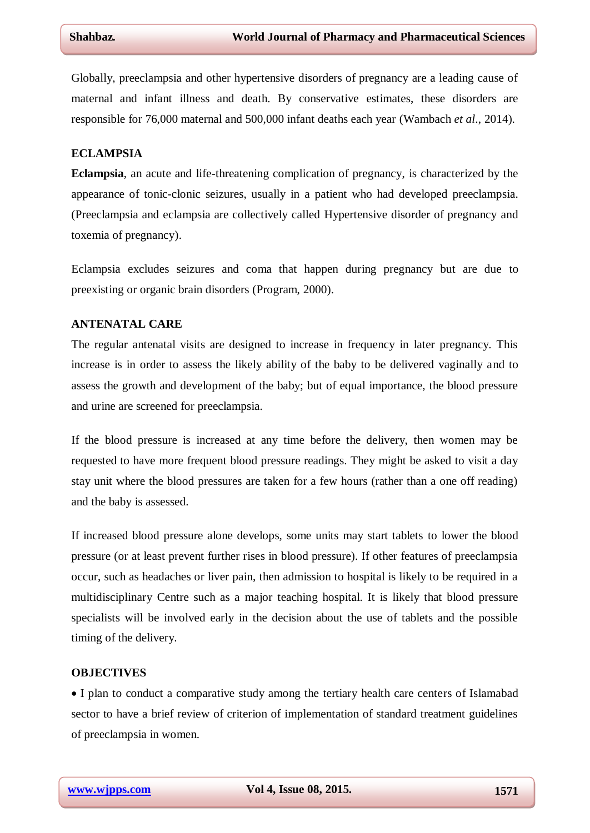Globally, preeclampsia and other hypertensive disorders of pregnancy are a leading cause of maternal and infant illness and death. By conservative estimates, these disorders are responsible for 76,000 maternal and 500,000 infant deaths each year (Wambach *et al*., 2014).

## **ECLAMPSIA**

**Eclampsia**, an acute and life-threatening complication of [pregnancy,](http://en.wikipedia.org/wiki/Pregnancy) is characterized by the appearance of [tonic-clonic seizures,](http://en.wikipedia.org/wiki/Tonic-clonic_seizure) usually in a patient who had developed [preeclampsia.](http://en.wikipedia.org/wiki/Preeclampsia) (Preeclampsia and eclampsia are collectively called Hypertensive disorder of pregnancy and toxemia of pregnancy).

Eclampsia excludes seizures and coma that happen during pregnancy but are due to preexisting or organic brain disorders (Program, 2000).

## **ANTENATAL CARE**

The regular antenatal visits are designed to increase in frequency in later pregnancy. This increase is in order to assess the likely ability of the baby to be delivered vaginally and to assess the growth and development of the baby; but of equal importance, the blood pressure and urine are screened for preeclampsia.

If the blood pressure is increased at any time before the delivery, then women may be requested to have more frequent blood pressure readings. They might be asked to visit a day stay unit where the blood pressures are taken for a few hours (rather than a one off reading) and the baby is assessed.

If increased blood pressure alone develops, some units may start tablets to lower the blood pressure (or at least prevent further rises in blood pressure). If other features of preeclampsia occur, such as headaches or liver pain, then admission to hospital is likely to be required in a multidisciplinary Centre such as a major teaching hospital. It is likely that blood pressure specialists will be involved early in the decision about the use of tablets and the possible timing of the delivery.

## **OBJECTIVES**

 I plan to conduct a comparative study among the tertiary health care centers of Islamabad sector to have a brief review of criterion of implementation of standard treatment guidelines of preeclampsia in women.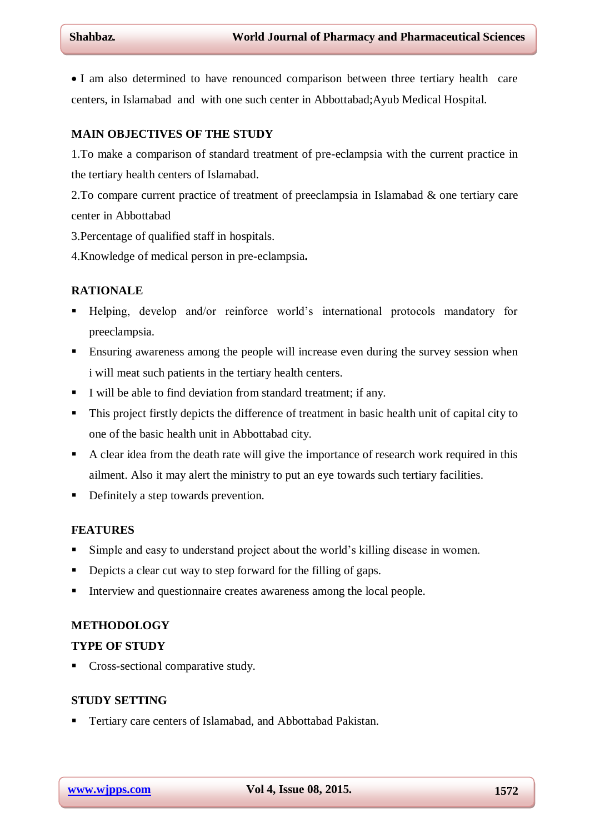I am also determined to have renounced comparison between three tertiary health care centers, in Islamabad and with one such center in Abbottabad;Ayub Medical Hospital.

## **MAIN OBJECTIVES OF THE STUDY**

1.To make a comparison of standard treatment of pre-eclampsia with the current practice in the tertiary health centers of Islamabad.

2.To compare current practice of treatment of preeclampsia in Islamabad & one tertiary care center in Abbottabad

3.Percentage of qualified staff in hospitals.

4.Knowledge of medical person in pre-eclampsia**.**

## **RATIONALE**

- Helping, develop and/or reinforce world's international protocols mandatory for preeclampsia.
- Ensuring awareness among the people will increase even during the survey session when i will meat such patients in the tertiary health centers.
- I will be able to find deviation from standard treatment; if any.
- This project firstly depicts the difference of treatment in basic health unit of capital city to one of the basic health unit in Abbottabad city.
- A clear idea from the death rate will give the importance of research work required in this ailment. Also it may alert the ministry to put an eye towards such tertiary facilities.
- Definitely a step towards prevention.

#### **FEATURES**

- Simple and easy to understand project about the world's killing disease in women.
- Depicts a clear cut way to step forward for the filling of gaps.
- Interview and questionnaire creates awareness among the local people.

## **METHODOLOGY**

## **TYPE OF STUDY**

Cross-sectional comparative study.

## **STUDY SETTING**

**Tertiary care centers of Islamabad, and Abbottabad Pakistan.**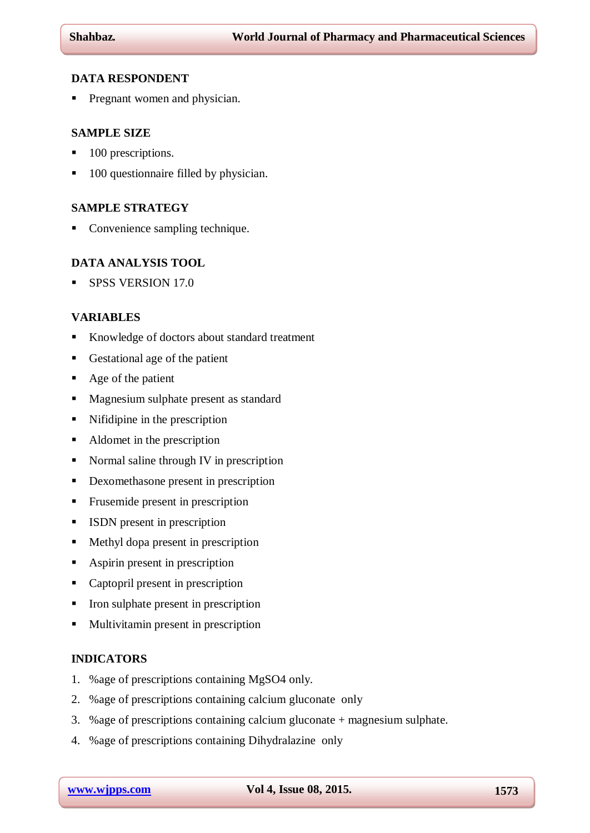## **DATA RESPONDENT**

**Pregnant women and physician.** 

## **SAMPLE SIZE**

- 100 prescriptions.
- 100 questionnaire filled by physician.

## **SAMPLE STRATEGY**

• Convenience sampling technique.

## **DATA ANALYSIS TOOL**

SPSS VERSION 17.0

## **VARIABLES**

- Knowledge of doctors about standard treatment
- Gestational age of the patient
- Age of the patient
- **Magnesium sulphate present as standard**
- Nifidipine in the prescription
- Aldomet in the prescription
- Normal saline through IV in prescription
- Dexomethasone present in prescription
- **Frusemide present in prescription**
- ISDN present in prescription
- Methyl dopa present in prescription
- Aspirin present in prescription
- Captopril present in prescription
- Iron sulphate present in prescription
- **Multivitamin present in prescription**

## **INDICATORS**

- 1. %age of prescriptions containing MgSO4 only.
- 2. %age of prescriptions containing calcium gluconate only
- 3. %age of prescriptions containing calcium gluconate + magnesium sulphate.
- 4. %age of prescriptions containing Dihydralazine only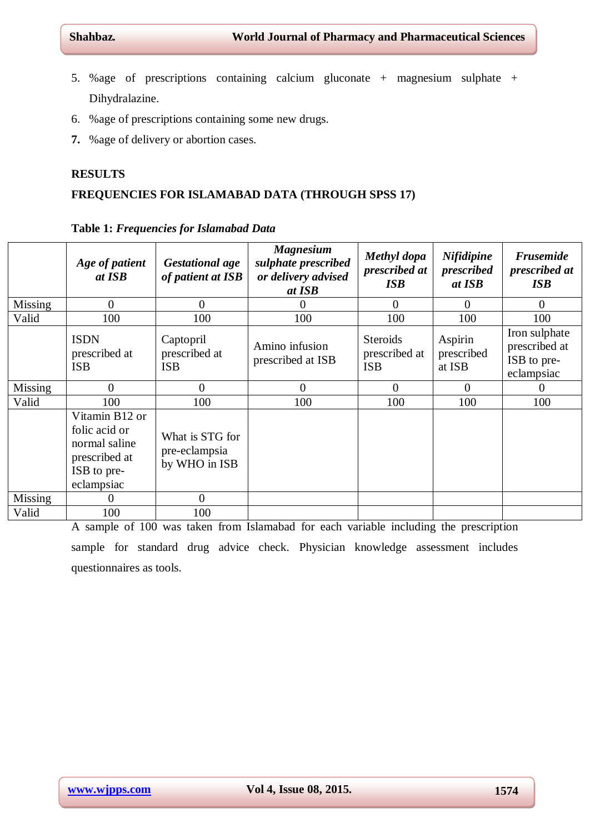- 5. %age of prescriptions containing calcium gluconate + magnesium sulphate + Dihydralazine.
- 6. %age of prescriptions containing some new drugs.
- **7.** %age of delivery or abortion cases.

## **RESULTS**

# **FREQUENCIES FOR ISLAMABAD DATA (THROUGH SPSS 17)**

|                | Age of patient<br>at ISB                                                                       | <b>Gestational age</b><br>of patient at ISB       | <b>Magnesium</b><br>sulphate prescribed<br>or delivery advised<br>at ISB | Methyl dopa<br>prescribed at<br><b>ISB</b>     | <b>Nifidipine</b><br>prescribed<br>at ISB | <b>Frusemide</b><br>prescribed at<br><b>ISB</b>             |
|----------------|------------------------------------------------------------------------------------------------|---------------------------------------------------|--------------------------------------------------------------------------|------------------------------------------------|-------------------------------------------|-------------------------------------------------------------|
| <b>Missing</b> | $\overline{0}$                                                                                 | $\theta$                                          | 0                                                                        | $\overline{0}$                                 | 0                                         | $\Omega$                                                    |
| Valid          | 100                                                                                            | 100                                               | 100                                                                      | 100                                            | 100                                       | 100                                                         |
|                | <b>ISDN</b><br>prescribed at<br><b>ISB</b>                                                     | Captopril<br>prescribed at<br><b>ISB</b>          | Amino infusion<br>prescribed at ISB                                      | <b>Steroids</b><br>prescribed at<br><b>ISB</b> | Aspirin<br>prescribed<br>at ISB           | Iron sulphate<br>prescribed at<br>ISB to pre-<br>eclampsiac |
| Missing        | $\Omega$                                                                                       | $\theta$                                          | 0                                                                        | $\overline{0}$                                 | $\Omega$                                  | $\theta$                                                    |
| Valid          | 100                                                                                            | 100                                               | 100                                                                      | 100                                            | 100                                       | 100                                                         |
|                | Vitamin B12 or<br>folic acid or<br>normal saline<br>prescribed at<br>ISB to pre-<br>eclampsiac | What is STG for<br>pre-eclampsia<br>by WHO in ISB |                                                                          |                                                |                                           |                                                             |
| <b>Missing</b> | 0                                                                                              | $\theta$                                          |                                                                          |                                                |                                           |                                                             |
| Valid          | 100                                                                                            | 100                                               |                                                                          |                                                |                                           |                                                             |

**Table 1:** *Frequencies for Islamabad Data*

A sample of 100 was taken from Islamabad for each variable including the prescription sample for standard drug advice check. Physician knowledge assessment includes questionnaires as tools.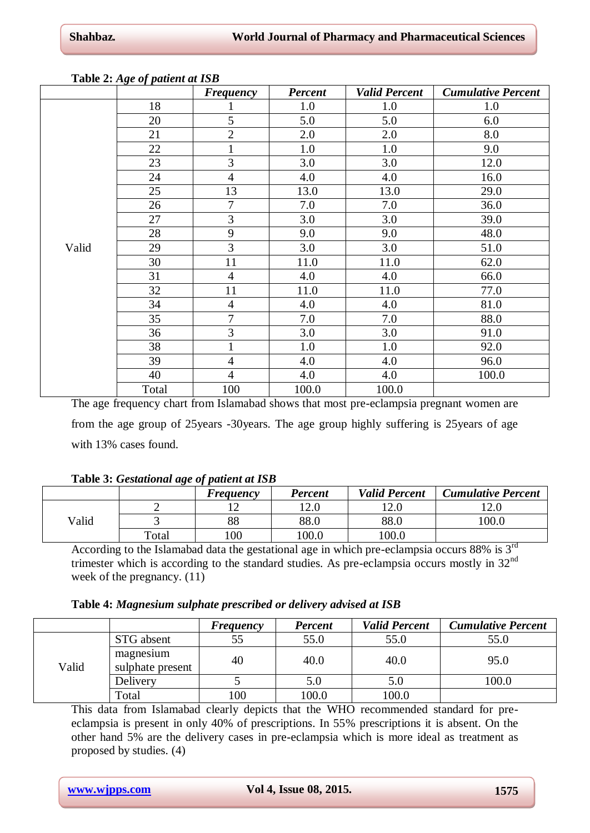|       | <u> 10010 - 11.30 cj puncin in 10</u> | <b>Frequency</b> | <b>Percent</b> | <b>Valid Percent</b> | <b>Cumulative Percent</b> |
|-------|---------------------------------------|------------------|----------------|----------------------|---------------------------|
|       | 18                                    |                  | 1.0            | 1.0                  | 1.0                       |
|       | 20                                    | $\overline{5}$   | 5.0            | 5.0                  | 6.0                       |
|       | 21                                    | $\overline{2}$   | 2.0            | 2.0                  | 8.0                       |
|       | 22                                    | $\mathbf{1}$     | 1.0            | 1.0                  | 9.0                       |
|       | 23                                    | 3                | 3.0            | 3.0                  | 12.0                      |
|       | 24                                    | $\overline{4}$   | 4.0            | 4.0                  | 16.0                      |
|       | 25                                    | 13               | 13.0           | 13.0                 | 29.0                      |
|       | 26                                    | $\overline{7}$   | 7.0            | 7.0                  | 36.0                      |
|       | 27                                    | 3                | 3.0            | 3.0                  | 39.0                      |
|       | 28                                    | 9                | 9.0            | 9.0                  | 48.0                      |
| Valid | 29                                    | 3                | 3.0            | 3.0                  | 51.0                      |
|       | 30                                    | 11               | 11.0           | 11.0                 | 62.0                      |
|       | 31                                    | $\overline{4}$   | 4.0            | 4.0                  | 66.0                      |
|       | 32                                    | 11               | 11.0           | 11.0                 | 77.0                      |
|       | 34                                    | $\overline{4}$   | 4.0            | 4.0                  | 81.0                      |
|       | 35                                    | $\overline{7}$   | 7.0            | 7.0                  | 88.0                      |
|       | 36                                    | 3                | 3.0            | 3.0                  | 91.0                      |
|       | 38                                    | $\mathbf{1}$     | 1.0            | 1.0                  | 92.0                      |
|       | 39                                    | $\overline{4}$   | 4.0            | 4.0                  | 96.0                      |
|       | 40                                    | $\overline{4}$   | 4.0            | 4.0                  | 100.0                     |
|       | Total                                 | 100              | 100.0          | 100.0                |                           |

# **Table 2:** *Age of patient at ISB*

The age frequency chart from Islamabad shows that most pre-eclampsia pregnant women are from the age group of 25years -30years. The age group highly suffering is 25years of age with 13% cases found.

## **Table 3:** *Gestational age of patient at ISB*

|       |       | <b>Frequency</b> | <b>Percent</b> | <b>Valid Percent</b> | <b>Cumulative Percent</b> |
|-------|-------|------------------|----------------|----------------------|---------------------------|
|       |       |                  | 12.0           | 2.0                  | 2.0                       |
| Valid |       | 88               | 88.0           | 88.0                 | 100.0                     |
|       | Total | 100              | 100.0          | 100.0                |                           |

According to the Islamabad data the gestational age in which pre-eclampsia occurs 88% is 3rd trimester which is according to the standard studies. As pre-eclampsia occurs mostly in 32<sup>nd</sup> week of the pregnancy. (11)

|       |                               | Frequency | <b>Percent</b> | <b>Valid Percent</b> | <b>Cumulative Percent</b> |
|-------|-------------------------------|-----------|----------------|----------------------|---------------------------|
| Valid | STG absent                    | 55        | 55.0           | 55.0                 | 55.0                      |
|       | magnesium<br>sulphate present | 40        | 40.0           | 40.0                 | 95.0                      |
|       | Delivery                      |           | 5.0            | 5.0                  | 100.0                     |
|       | Total                         | 100       | 100.0          | 100.0                |                           |

This data from Islamabad clearly depicts that the WHO recommended standard for preeclampsia is present in only 40% of prescriptions. In 55% prescriptions it is absent. On the other hand 5% are the delivery cases in pre-eclampsia which is more ideal as treatment as proposed by studies. (4)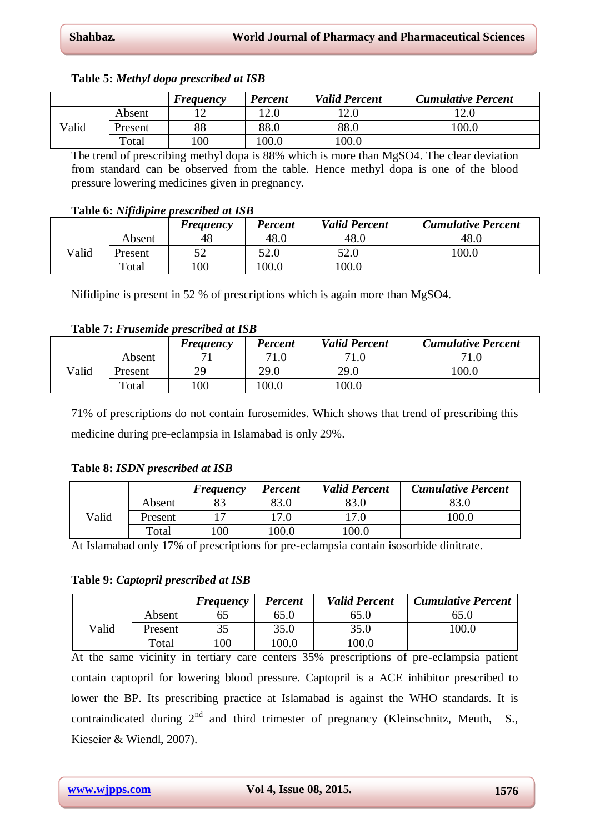|  |  |  | Table 5: Methyl dopa prescribed at ISB |  |
|--|--|--|----------------------------------------|--|
|--|--|--|----------------------------------------|--|

|       |         | Frequency | <b>Percent</b> | <b>Valid Percent</b> | <b>Cumulative Percent</b> |
|-------|---------|-----------|----------------|----------------------|---------------------------|
|       | Absent  |           | 12.0           | 12.0                 | 12.0                      |
| Valid | Present | 88        | 88.0           | 88.0                 | 100.0                     |
|       | Total   | 00        | 100.0          | 100.0                |                           |

The trend of prescribing methyl dopa is 88% which is more than MgSO4. The clear deviation from standard can be observed from the table. Hence methyl dopa is one of the blood pressure lowering medicines given in pregnancy.

## **Table 6:** *Nifidipine prescribed at ISB*

|       |         | Freguency | Percent | <b>Valid Percent</b> | <b>Cumulative Percent</b> |
|-------|---------|-----------|---------|----------------------|---------------------------|
|       | Absent  | 48        | 48.0    | 48.0                 | 48.0                      |
| Valid | Present |           | 52.0    | 52.0                 | 100.0                     |
|       | Total   | 100       | 100.0   | 100.0                |                           |

Nifidipine is present in 52 % of prescriptions which is again more than MgSO4.

## **Table 7:** *Frusemide prescribed at ISB*

|       |         | Freguency | <b>Percent</b> | <b>Valid Percent</b> | <b>Cumulative Percent</b> |
|-------|---------|-----------|----------------|----------------------|---------------------------|
|       | Absent  |           | 71.0           | 71.0                 | 71.0                      |
| Valid | Present | 29        | 29.0           | 29.0                 | 100.0                     |
|       | Total   | 100       | 100.0          | 100.0                |                           |

71% of prescriptions do not contain furosemides. Which shows that trend of prescribing this medicine during pre-eclampsia in Islamabad is only 29%.

## **Table 8:** *ISDN prescribed at ISB*

|       |         | <b>Frequency</b> | <b>Percent</b> | <b>Valid Percent</b> | <b>Cumulative Percent</b> |
|-------|---------|------------------|----------------|----------------------|---------------------------|
| Valid | Absent  |                  | 83.0           | 83.0                 | 83.0                      |
|       | Present |                  | 17.0           | l7.0                 | 100.0                     |
|       | Total   | 100              | 100.0          | 100.0                |                           |

At Islamabad only 17% of prescriptions for pre-eclampsia contain isosorbide dinitrate.

## **Table 9:** *Captopril prescribed at ISB*

|       |         | <b>Frequency</b> | <b>Percent</b> | <b>Valid Percent</b> | <b>Cumulative Percent</b> |
|-------|---------|------------------|----------------|----------------------|---------------------------|
| Valid | Absent  |                  | 65.0           | 65.0                 | 65.0                      |
|       | Present |                  | 35.0           | 35.0                 | 100.0                     |
|       | Total   | 100              | 100.0          | 100.0                |                           |

At the same vicinity in tertiary care centers 35% prescriptions of pre-eclampsia patient contain captopril for lowering blood pressure. Captopril is a ACE inhibitor prescribed to lower the BP. Its prescribing practice at Islamabad is against the WHO standards. It is contraindicated during  $2<sup>nd</sup>$  and third trimester of pregnancy (Kleinschnitz, Meuth, S., Kieseier & Wiendl, 2007).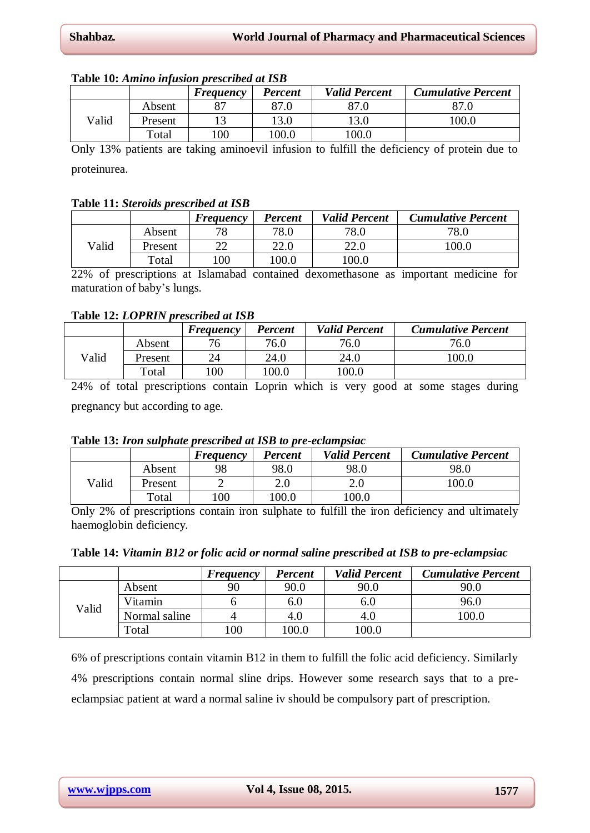|       |         | <b>Frequency</b> | <b>Percent</b> | <b>Valid Percent</b> | <b>Cumulative Percent</b> |
|-------|---------|------------------|----------------|----------------------|---------------------------|
|       | Absent  | 87               | 87.0           |                      | 87.0                      |
| Valid | Present |                  | 13.0           | 13.0                 | 100.0                     |
|       | Total   | 100              | 100.0          | 100.0                |                           |

## **Table 10:** *Amino infusion prescribed at ISB*

Only 13% patients are taking aminoevil infusion to fulfill the deficiency of protein due to proteinurea.

## **Table 11:** *Steroids prescribed at ISB*

|       |         | <b>Frequency</b> | Percent | <b>Valid Percent</b> | <b>Cumulative Percent</b> |
|-------|---------|------------------|---------|----------------------|---------------------------|
|       | Absent  | 78               | 78.0    | 78.0                 | 78.0                      |
| Valid | Present |                  | 22.0    | 22.0                 | 100.0                     |
|       | Total   | 00               | 100.0   | 100.0                |                           |

22% of prescriptions at Islamabad contained dexomethasone as important medicine for maturation of baby's lungs.

## **Table 12:** *LOPRIN prescribed at ISB*

|       |         | <b>Frequency</b> | <b>Percent</b> | <b>Valid Percent</b> | <b>Cumulative Percent</b> |
|-------|---------|------------------|----------------|----------------------|---------------------------|
|       | Absent  | '6               | 76.0           | 76.0                 | 76.0                      |
| Valid | Present | 24               | 24.0           | 24.0                 | 100.0                     |
|       | Total   | 100              | 100.0          | 100.0                |                           |

24% of total prescriptions contain Loprin which is very good at some stages during pregnancy but according to age.

## **Table 13:** *Iron sulphate prescribed at ISB to pre-eclampsiac*

|       |         | <b>Frequency</b> | <b>Percent</b> | <b>Valid Percent</b> | <b>Cumulative Percent</b> |
|-------|---------|------------------|----------------|----------------------|---------------------------|
|       | Absent  | 98               | 98.0           | 98.0                 | 98.0                      |
| Valid | Present |                  | 2.0            | 2.0                  | 100.0                     |
|       | Total   | 100              | 100.0          | 100.0                |                           |

Only 2% of prescriptions contain iron sulphate to fulfill the iron deficiency and ultimately haemoglobin deficiency.

| Table 14: Vitamin B12 or folic acid or normal saline prescribed at ISB to pre-eclampsiac |  |
|------------------------------------------------------------------------------------------|--|
|------------------------------------------------------------------------------------------|--|

|       |               | <b>Frequency</b> | <b>Percent</b> | <b>Valid Percent</b> | <b>Cumulative Percent</b> |
|-------|---------------|------------------|----------------|----------------------|---------------------------|
| Valid | Absent        | 90               | 90.0           | 90.0                 | 90.0                      |
|       | Vitamin       |                  | 0.U            | 0.U                  | 96.0                      |
|       | Normal saline |                  | 4.O            | 4.O                  | 100.0                     |
|       | Total         | 00               | 100.0          | 0.001                |                           |

6% of prescriptions contain vitamin B12 in them to fulfill the folic acid deficiency. Similarly 4% prescriptions contain normal sline drips. However some research says that to a preeclampsiac patient at ward a normal saline iv should be compulsory part of prescription.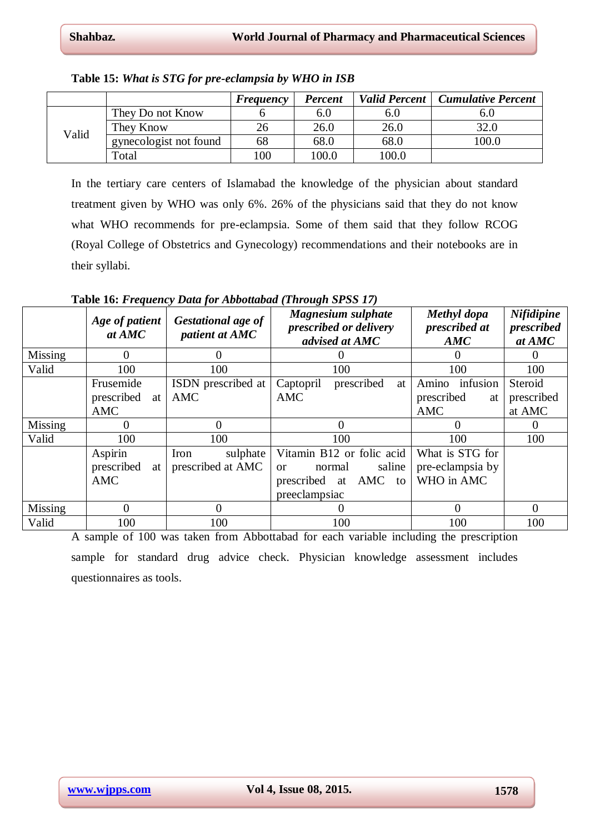|       |                        | <b>Frequency</b> | <b>Percent</b> | <b>Valid Percent</b> | <b>Cumulative Percent</b> |
|-------|------------------------|------------------|----------------|----------------------|---------------------------|
| Valid | They Do not Know       |                  | 6.0            | 6.0                  | 6.U                       |
|       | They Know              | 26               | 26.0           | 26.0                 | 32.0                      |
|       | gynecologist not found | 68               | 68.0           | 68.0                 | 100.0                     |
|       | Total                  | 100              | 100.0          | 100.0                |                           |

**Table 15:** *What is STG for pre-eclampsia by WHO in ISB*

In the tertiary care centers of Islamabad the knowledge of the physician about standard treatment given by WHO was only 6%. 26% of the physicians said that they do not know what WHO recommends for pre-eclampsia. Some of them said that they follow RCOG (Royal College of Obstetrics and Gynecology) recommendations and their notebooks are in their syllabi.

**Table 16:** *Frequency Data for Abbottabad (Through SPSS 17)*

|                | Age of patient<br>at AMC | <b>Gestational age of</b><br>patient at AMC | <b>Magnesium sulphate</b><br>prescribed or delivery<br>advised at AMC | Methyl dopa<br>prescribed at<br>AMC | <b>Nifidipine</b><br>prescribed<br>at AMC |
|----------------|--------------------------|---------------------------------------------|-----------------------------------------------------------------------|-------------------------------------|-------------------------------------------|
| <b>Missing</b> | $\Omega$                 | $\theta$                                    |                                                                       |                                     | $\theta$                                  |
| Valid          | 100                      | 100                                         | 100                                                                   | 100                                 | 100                                       |
|                | Frusemide                | ISDN prescribed at                          | prescribed<br>Captopril<br>at                                         | infusion<br>Amino                   | Steroid                                   |
|                | prescribed<br>at         | AMC                                         | AMC                                                                   | prescribed<br>at                    | prescribed                                |
|                | <b>AMC</b>               |                                             |                                                                       | AMC                                 | at AMC                                    |
| Missing        | 0                        | 0                                           | $\Omega$                                                              | $\theta$                            | $\Omega$                                  |
| Valid          | 100                      | 100                                         | 100                                                                   | 100                                 | 100                                       |
|                | Aspirin                  | Iron<br>sulphate                            | Vitamin B12 or folic acid                                             | What is STG for                     |                                           |
|                | prescribed<br>at         | prescribed at AMC                           | saline<br>normal<br><b>or</b>                                         | pre-eclampsia by                    |                                           |
|                | <b>AMC</b>               |                                             | AMC<br>prescribed<br>at<br>to                                         | WHO in AMC                          |                                           |
|                |                          |                                             | preeclampsiac                                                         |                                     |                                           |
| Missing        | $\Omega$                 | $\Omega$                                    | $\theta$                                                              | $\Omega$                            | $\overline{0}$                            |
| Valid          | 100                      | 100                                         | 100                                                                   | 100                                 | 100                                       |

A sample of 100 was taken from Abbottabad for each variable including the prescription sample for standard drug advice check. Physician knowledge assessment includes questionnaires as tools.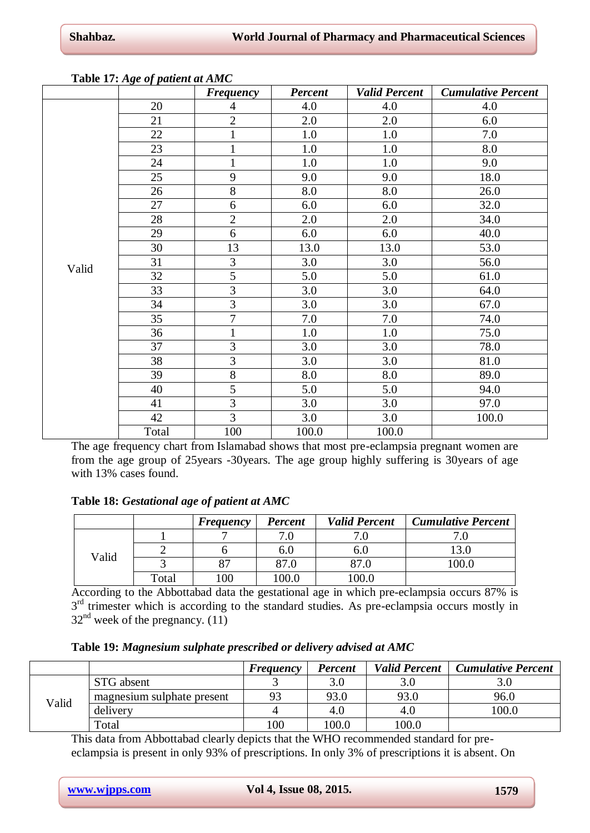| ----- - - - - - - 0 | $\sim$ $\mu$ where we can $\sim$ | <b>Frequency</b> | <b>Percent</b> | <b>Valid Percent</b> | <b>Cumulative Percent</b> |
|---------------------|----------------------------------|------------------|----------------|----------------------|---------------------------|
|                     | 20                               | $\overline{4}$   | 4.0            | 4.0                  | 4.0                       |
|                     | 21                               | $\overline{2}$   | 2.0            | 2.0                  | 6.0                       |
|                     | 22                               | $\mathbf{1}$     | 1.0            | 1.0                  | 7.0                       |
|                     | 23                               | $\mathbf{1}$     | 1.0            | 1.0                  | 8.0                       |
|                     | 24                               | $\mathbf{1}$     | 1.0            | 1.0                  | 9.0                       |
|                     | 25                               | 9                | 9.0            | 9.0                  | 18.0                      |
|                     | 26                               | $\overline{8}$   | 8.0            | 8.0                  | 26.0                      |
|                     | 27                               | $\overline{6}$   | 6.0            | 6.0                  | 32.0                      |
|                     | 28                               | $\overline{2}$   | 2.0            | 2.0                  | 34.0                      |
|                     | 29                               | 6                | 6.0            | 6.0                  | 40.0                      |
|                     | 30                               | 13               | 13.0           | 13.0                 | 53.0                      |
| Valid               | 31                               | 3                | 3.0            | 3.0                  | 56.0                      |
|                     | 32                               | $\overline{5}$   | 5.0            | 5.0                  | 61.0                      |
|                     | 33                               | $\overline{3}$   | 3.0            | 3.0                  | 64.0                      |
|                     | 34                               | $\overline{3}$   | 3.0            | 3.0                  | 67.0                      |
|                     | 35                               | $\overline{7}$   | 7.0            | 7.0                  | 74.0                      |
|                     | 36                               | $\mathbf{1}$     | 1.0            | 1.0                  | 75.0                      |
|                     | 37                               | 3                | 3.0            | 3.0                  | 78.0                      |
|                     | 38                               | $\overline{3}$   | 3.0            | 3.0                  | 81.0                      |
|                     | 39                               | $8\,$            | 8.0            | 8.0                  | 89.0                      |
|                     | 40                               | $\overline{5}$   | 5.0            | 5.0                  | 94.0                      |
|                     | 41                               | $\overline{3}$   | 3.0            | 3.0                  | 97.0                      |
|                     | 42                               | $\overline{3}$   | 3.0            | 3.0                  | 100.0                     |
|                     | Total                            | 100              | 100.0          | 100.0                |                           |

## **Table 17:** *Age of patient at AMC*

The age frequency chart from Islamabad shows that most pre-eclampsia pregnant women are from the age group of 25years -30years. The age group highly suffering is 30years of age with 13% cases found.

## **Table 18:** *Gestational age of patient at AMC*

|       |       | Frequency | <b>Percent</b> | <b>Valid Percent</b> | <b>Cumulative Percent</b> |
|-------|-------|-----------|----------------|----------------------|---------------------------|
| Valid |       |           | 7.0            |                      |                           |
|       |       |           | 6.U            | o.u                  |                           |
|       |       | o J       | 87.0           | 87.0                 | .00.0                     |
|       | Total | 00        | 100.0          | 00.0                 |                           |

According to the Abbottabad data the gestational age in which pre-eclampsia occurs 87% is 3<sup>rd</sup> trimester which is according to the standard studies. As pre-eclampsia occurs mostly in  $32<sup>nd</sup>$  week of the pregnancy. (11)

**Table 19:** *Magnesium sulphate prescribed or delivery advised at AMC*

|       |                            | <b>Frequency</b> | <b>Percent</b> | <b>Valid Percent</b> | <b>Cumulative Percent</b> |
|-------|----------------------------|------------------|----------------|----------------------|---------------------------|
| Valid | STG absent                 |                  |                |                      |                           |
|       | magnesium sulphate present | 93               | 93.0           | 93.0                 | 96.0                      |
|       | delivery                   |                  | 4.O            | 4.U                  | 100.0                     |
|       | $\tau$ <sub>otal</sub>     | 100              | 100.0          | 100.0                |                           |

This data from Abbottabad clearly depicts that the WHO recommended standard for preeclampsia is present in only 93% of prescriptions. In only 3% of prescriptions it is absent. On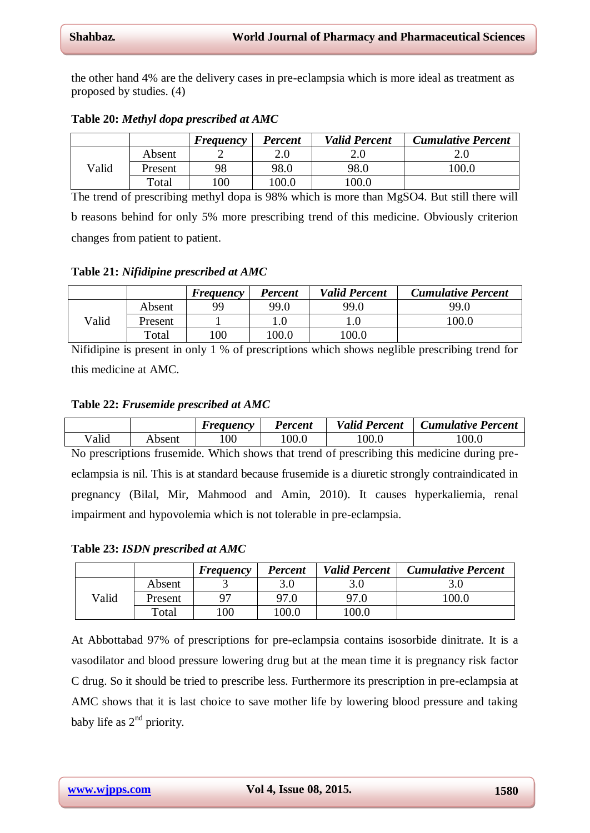the other hand 4% are the delivery cases in pre-eclampsia which is more ideal as treatment as proposed by studies. (4)

|       |         | <b>Frequency</b> | <b>Percent</b> | <b>Valid Percent</b> | <b>Cumulative Percent</b> |
|-------|---------|------------------|----------------|----------------------|---------------------------|
|       | Absent  |                  |                | 2.C                  |                           |
| Valid | Present | 98               | 98.0           | 98.0                 | 100.0                     |
|       | Total   | 00               | 100.0          | .00.0                |                           |

**Table 20:** *Methyl dopa prescribed at AMC*

The trend of prescribing methyl dopa is 98% which is more than MgSO4. But still there will b reasons behind for only 5% more prescribing trend of this medicine. Obviously criterion changes from patient to patient.

**Table 21:** *Nifidipine prescribed at AMC*

|       |         | <b>Frequency</b> | <b>Percent</b> | <b>Valid Percent</b> | <b>Cumulative Percent</b> |
|-------|---------|------------------|----------------|----------------------|---------------------------|
|       | Absent  | QQ               | 99.0           | 99.0                 | 99.0                      |
| Valid | Present |                  |                |                      | 100.0                     |
|       | Total   | 100              | 100.0          | 100.0                |                           |

Nifidipine is present in only 1 % of prescriptions which shows neglible prescribing trend for this medicine at AMC.

#### **Table 22:** *Frusemide prescribed at AMC*

|       |        | <i><b>Frequency</b></i> | <b>Percent</b> | <b>Valid Percent</b> | <b>Cumulative Percent</b> |
|-------|--------|-------------------------|----------------|----------------------|---------------------------|
| Valid | Absent | 00                      | .00.0          | 100.0                | 100.0                     |

No prescriptions frusemide. Which shows that trend of prescribing this medicine during preeclampsia is nil. This is at standard because frusemide is a diuretic strongly contraindicated in pregnancy (Bilal, Mir, Mahmood and Amin, 2010). It causes hyperkaliemia, renal impairment and hypovolemia which is not tolerable in pre-eclampsia.

**Table 23:** *ISDN prescribed at AMC*

|       |         | <b>Frequency</b> | <b>Percent</b> | <b>Valid Percent</b> | <b>Cumulative Percent</b> |
|-------|---------|------------------|----------------|----------------------|---------------------------|
|       | Absent  |                  | 3.0            | 3.0                  |                           |
| Valid | Present |                  | 97.0           | 97.0                 | 100.0                     |
|       | Total   | 00               | 100.0          | 100.0                |                           |

At Abbottabad 97% of prescriptions for pre-eclampsia contains isosorbide dinitrate. It is a vasodilator and blood pressure lowering drug but at the mean time it is pregnancy risk factor C drug. So it should be tried to prescribe less. Furthermore its prescription in pre-eclampsia at AMC shows that it is last choice to save mother life by lowering blood pressure and taking baby life as  $2<sup>nd</sup>$  priority.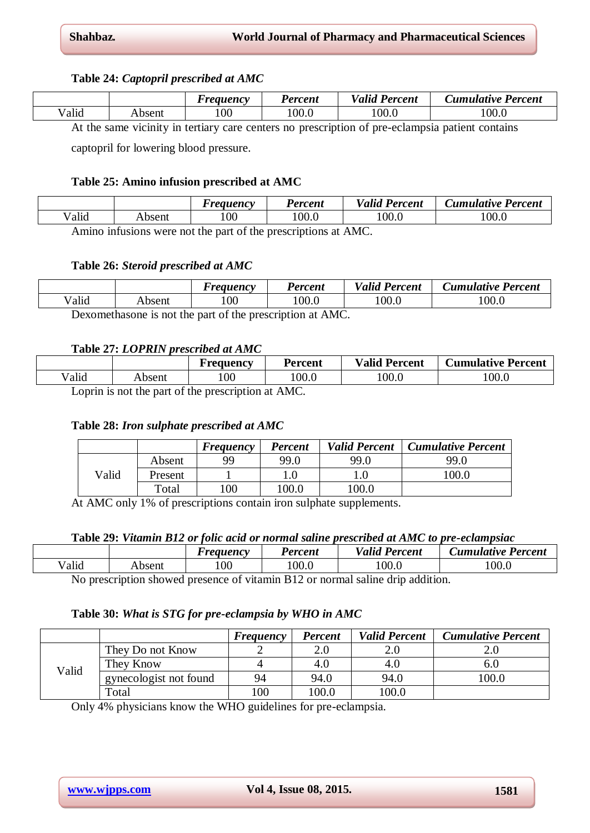## **Table 24:** *Captopril prescribed at AMC*

|       |                      | <i>reauency</i> | Percent | $\mathbf{r}$<br>$\mathbf{r}$<br>Percent<br>Valid | Cumulative Percent |
|-------|----------------------|-----------------|---------|--------------------------------------------------|--------------------|
| Valid | Absent               | 100             | 0.00    | 100.0                                            | 100.0              |
|       | $\ddot{\phantom{1}}$ |                 |         | $\sim$                                           |                    |

At the same vicinity in tertiary care centers no prescription of pre-eclampsia patient contains

captopril for lowering blood pressure.

## **Table 25: Amino infusion prescribed at AMC**

|       |        | <i>Freauency</i> | Percent | <b>Valid</b><br>ת -<br>Percent | Cumulative Percent |
|-------|--------|------------------|---------|--------------------------------|--------------------|
| Valid | Absent | 100              | 100.0   | 100.0                          | 00.0               |
|       |        | .                |         | $\lambda$ $\lambda$ $\Lambda$  |                    |

Amino infusions were not the part of the prescriptions at AMC.

## **Table 26:** *Steroid prescribed at AMC*

|                                                                   |        | Freauency | Percent | <b>Valid Percent</b> | <b>Cumulative Percent</b> |  |  |
|-------------------------------------------------------------------|--------|-----------|---------|----------------------|---------------------------|--|--|
| Valid                                                             | Absent | 00        | .00.0   | 100.0                | 100.0                     |  |  |
| $\lambda$ $\lambda$ $\Lambda$ $\cap$<br>$\mathbf{D} = \mathbf{A}$ |        |           |         |                      |                           |  |  |

Dexomethasone is not the part of the prescription at AMC.

## **Table 27:** *LOPRIN prescribed at AMC*

|       |        | Frequency | <b>Percent</b> | <b>Valid Percent</b> | <b>Cumulative Percent</b> |
|-------|--------|-----------|----------------|----------------------|---------------------------|
| /alid | Absent | 00        | 100.0          | 100.0                | 0.00                      |
|       |        |           | $\cdots$       |                      |                           |

Loprin is not the part of the prescription at AMC.

## **Table 28:** *Iron sulphate prescribed at AMC*

|       |         | Frequency | <b>Percent</b> | <b>Valid Percent</b> | <b>Cumulative Percent</b> |
|-------|---------|-----------|----------------|----------------------|---------------------------|
|       | Absent  | 99        | 99.0           | 99.0                 | 99.0                      |
| Valid | Present |           |                |                      | 100.0                     |
|       | Total   | 100       | 100.0          | 100.0                |                           |

At AMC only 1% of prescriptions contain iron sulphate supplements.

## **Table 29:** *Vitamin B12 or folic acid or normal saline prescribed at AMC to pre-eclampsiac*

|       |        | Freauency | Percent | <b>Valid Percent</b> | Cumulative Percent |
|-------|--------|-----------|---------|----------------------|--------------------|
| Valid | Absent | 100       | 100.0   | 100.0                | 100.0              |

No prescription showed presence of vitamin B12 or normal saline drip addition.

## **Table 30:** *What is STG for pre-eclampsia by WHO in AMC*

|       |                        | <b>Frequency</b> | <b>Percent</b> | <b>Valid Percent</b> | <b>Cumulative Percent</b> |
|-------|------------------------|------------------|----------------|----------------------|---------------------------|
|       | They Do not Know       |                  |                |                      |                           |
| Valid | They Know              |                  | 4.U            | 4.0                  | 0.U                       |
|       | gynecologist not found | 94               | 94.0           | 94.0                 | 100.0                     |
|       | Total                  | 100              | 100.0          | 100.0                |                           |

Only 4% physicians know the WHO guidelines for pre-eclampsia.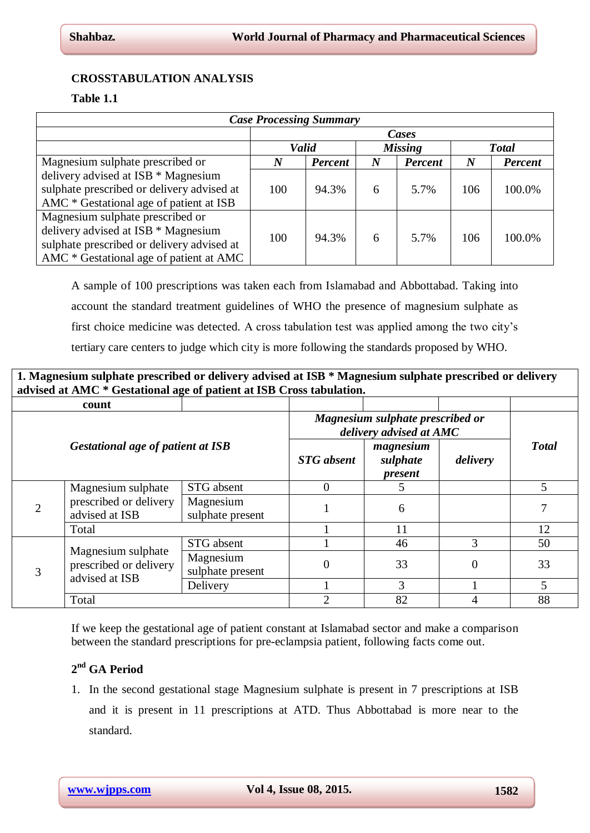## **CROSSTABULATION ANALYSIS**

## **Table 1.1**

| <b>Case Processing Summary</b>             |          |                |                  |                |          |                |  |  |
|--------------------------------------------|----------|----------------|------------------|----------------|----------|----------------|--|--|
|                                            | Cases    |                |                  |                |          |                |  |  |
|                                            |          | Valid          |                  | <b>Missing</b> |          | <b>Total</b>   |  |  |
| Magnesium sulphate prescribed or           | $\bm{N}$ | <b>Percent</b> | $\boldsymbol{N}$ | <b>Percent</b> | $\bm{N}$ | <b>Percent</b> |  |  |
| delivery advised at ISB * Magnesium        |          |                |                  |                |          |                |  |  |
| sulphate prescribed or delivery advised at | 100      | 94.3%          | 6                | 5.7%           | 106      | 100.0%         |  |  |
| AMC * Gestational age of patient at ISB    |          |                |                  |                |          |                |  |  |
| Magnesium sulphate prescribed or           |          |                |                  |                |          |                |  |  |
| delivery advised at ISB * Magnesium        | 100      | 94.3%          |                  | 5.7%           | 106      | 100.0%         |  |  |
| sulphate prescribed or delivery advised at |          |                | 6                |                |          |                |  |  |
| AMC * Gestational age of patient at AMC    |          |                |                  |                |          |                |  |  |

A sample of 100 prescriptions was taken each from Islamabad and Abbottabad. Taking into account the standard treatment guidelines of WHO the presence of magnesium sulphate as first choice medicine was detected. A cross tabulation test was applied among the two city's tertiary care centers to judge which city is more following the standards proposed by WHO.

| 1. Magnesium sulphate prescribed or delivery advised at ISB * Magnesium sulphate prescribed or delivery |  |
|---------------------------------------------------------------------------------------------------------|--|
| advised at AMC * Gestational age of patient at ISB Cross tabulation.                                    |  |
|                                                                                                         |  |

|                                          | count                                                          |                                                             |                   |                                  |          |              |
|------------------------------------------|----------------------------------------------------------------|-------------------------------------------------------------|-------------------|----------------------------------|----------|--------------|
|                                          |                                                                | Magnesium sulphate prescribed or<br>delivery advised at AMC |                   |                                  |          |              |
| <b>Gestational age of patient at ISB</b> |                                                                |                                                             | <b>STG</b> absent | magnesium<br>sulphate<br>present | delivery | <b>Total</b> |
|                                          | Magnesium sulphate                                             | STG absent                                                  | $\Omega$          | 5                                |          | 5            |
|                                          | prescribed or delivery<br>advised at ISB                       | Magnesium<br>sulphate present                               |                   | 6                                |          |              |
|                                          | Total                                                          |                                                             |                   | 11                               |          | 12           |
|                                          |                                                                | STG absent                                                  |                   | 46                               | 3        | 50           |
|                                          | Magnesium sulphate<br>prescribed or delivery<br>advised at ISB | Magnesium<br>sulphate present                               | 0                 | 33                               | 0        | 33           |
|                                          |                                                                | Delivery                                                    |                   | 3                                |          | 5            |
|                                          | Total                                                          |                                                             | 2                 | 82                               |          | 88           |

If we keep the gestational age of patient constant at Islamabad sector and make a comparison between the standard prescriptions for pre-eclampsia patient, following facts come out.

# **2 nd GA Period**

1. In the second gestational stage Magnesium sulphate is present in 7 prescriptions at ISB and it is present in 11 prescriptions at ATD. Thus Abbottabad is more near to the standard.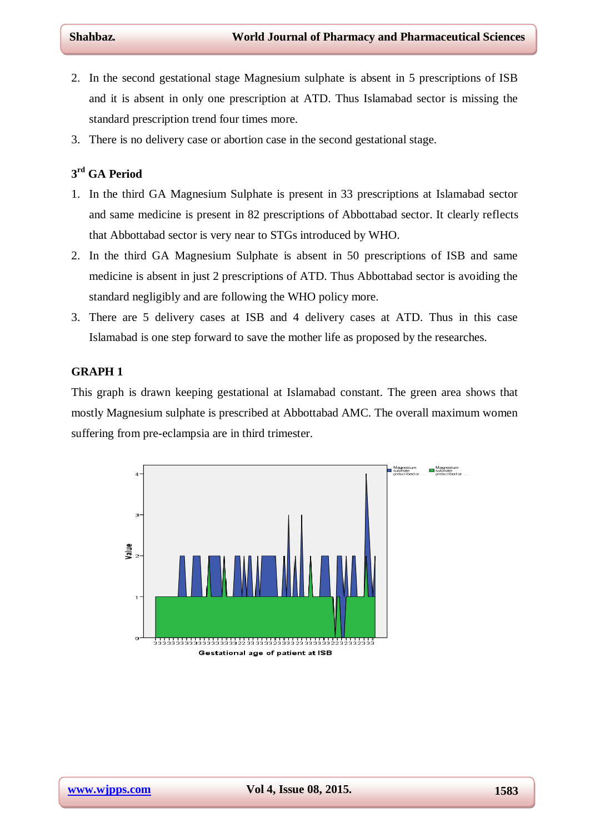- 2. In the second gestational stage Magnesium sulphate is absent in 5 prescriptions of ISB and it is absent in only one prescription at ATD. Thus Islamabad sector is missing the standard prescription trend four times more.
- 3. There is no delivery case or abortion case in the second gestational stage.

# **3 rd GA Period**

- 1. In the third GA Magnesium Sulphate is present in 33 prescriptions at Islamabad sector and same medicine is present in 82 prescriptions of Abbottabad sector. It clearly reflects that Abbottabad sector is very near to STGs introduced by WHO.
- 2. In the third GA Magnesium Sulphate is absent in 50 prescriptions of ISB and same medicine is absent in just 2 prescriptions of ATD. Thus Abbottabad sector is avoiding the standard negligibly and are following the WHO policy more.
- 3. There are 5 delivery cases at ISB and 4 delivery cases at ATD. Thus in this case Islamabad is one step forward to save the mother life as proposed by the researches.

## **GRAPH 1**

This graph is drawn keeping gestational at Islamabad constant. The green area shows that mostly Magnesium sulphate is prescribed at Abbottabad AMC. The overall maximum women suffering from pre-eclampsia are in third trimester.

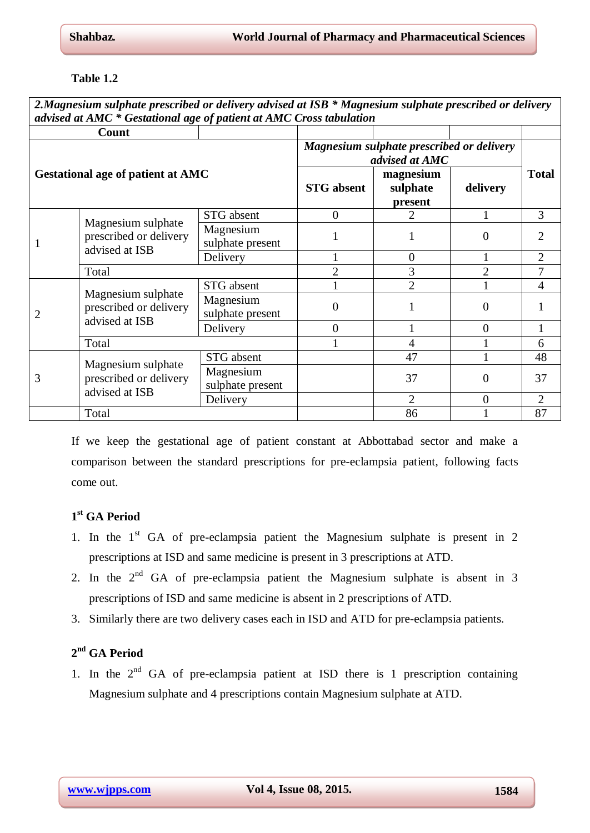## **Table 1.2**

*2.Magnesium sulphate prescribed or delivery advised at ISB \* Magnesium sulphate prescribed or delivery advised at AMC \* Gestational age of patient at AMC Cross tabulation* **Count Gestational age of patient at AMC** *Magnesium sulphate prescribed or delivery advised at AMC* **Total STG absent magnesium sulphate present delivery** 1 Magnesium sulphate prescribed or delivery advised at ISB  $STG$  absent  $\begin{array}{cccc} 0 & 2 & 1 & 3 \end{array}$ Magnesium  $\begin{array}{c|c|c|c|c|c|c} \text{wagnesium} & 1 & 1 & 0 & 2 \\ \text{subject present} & 1 & 1 & 0 & 2 \end{array}$ Delivery 1 1 0 1 2 Total 2 3 2 7  $\mathcal{D}_{\mathcal{L}}$ Magnesium sulphate prescribed or delivery advised at ISB  $STG$  absent  $1 \t 1 \t 2 \t 1 \t 1$ Magnesium  $\begin{array}{c|c} \text{wagnesium} \\ \text{subplate present} \end{array}$  0 1 0 1 Delivery  $\begin{array}{cccc} \vert & 0 \vert & 1 \vert & 0 \end{array}$  1 Total  $1 \t 1 \t 4 \t 1 \t 6$ 3 Magnesium sulphate prescribed or delivery advised at ISB STG absent 1 47 1 48 Magnesium sulphate present  $\begin{vmatrix} 37 & 0 & 37 \\ 0 & 37 & 0 \\ 0 & 0 & 37 \end{vmatrix}$ Delivery  $\begin{array}{|c|c|c|c|c|c|c|c|c|} \hline \text{Delivery} & 2 & 0 & 2 \end{array}$ Total 1 87

If we keep the gestational age of patient constant at Abbottabad sector and make a comparison between the standard prescriptions for pre-eclampsia patient, following facts come out.

# **1 st GA Period**

- 1. In the  $1<sup>st</sup>$  GA of pre-eclampsia patient the Magnesium sulphate is present in 2 prescriptions at ISD and same medicine is present in 3 prescriptions at ATD.
- 2. In the  $2^{nd}$  GA of pre-eclampsia patient the Magnesium sulphate is absent in 3 prescriptions of ISD and same medicine is absent in 2 prescriptions of ATD.
- 3. Similarly there are two delivery cases each in ISD and ATD for pre-eclampsia patients.

# **2 nd GA Period**

1. In the  $2<sup>nd</sup>$  GA of pre-eclampsia patient at ISD there is 1 prescription containing Magnesium sulphate and 4 prescriptions contain Magnesium sulphate at ATD.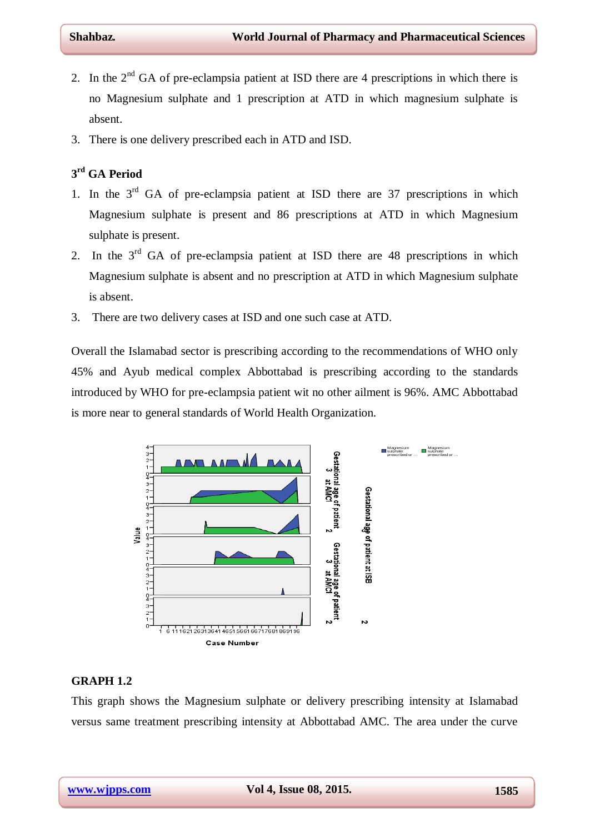- 2. In the  $2<sup>nd</sup> GA$  of pre-eclampsia patient at ISD there are 4 prescriptions in which there is no Magnesium sulphate and 1 prescription at ATD in which magnesium sulphate is absent.
- 3. There is one delivery prescribed each in ATD and ISD.

# **3 rd GA Period**

- 1. In the  $3<sup>rd</sup>$  GA of pre-eclampsia patient at ISD there are 37 prescriptions in which Magnesium sulphate is present and 86 prescriptions at ATD in which Magnesium sulphate is present.
- 2. In the  $3<sup>rd</sup>$  GA of pre-eclampsia patient at ISD there are 48 prescriptions in which Magnesium sulphate is absent and no prescription at ATD in which Magnesium sulphate is absent.
- 3. There are two delivery cases at ISD and one such case at ATD.

Overall the Islamabad sector is prescribing according to the recommendations of WHO only 45% and Ayub medical complex Abbottabad is prescribing according to the standards introduced by WHO for pre-eclampsia patient wit no other ailment is 96%. AMC Abbottabad is more near to general standards of World Health Organization.



## **GRAPH 1.2**

This graph shows the Magnesium sulphate or delivery prescribing intensity at Islamabad versus same treatment prescribing intensity at Abbottabad AMC. The area under the curve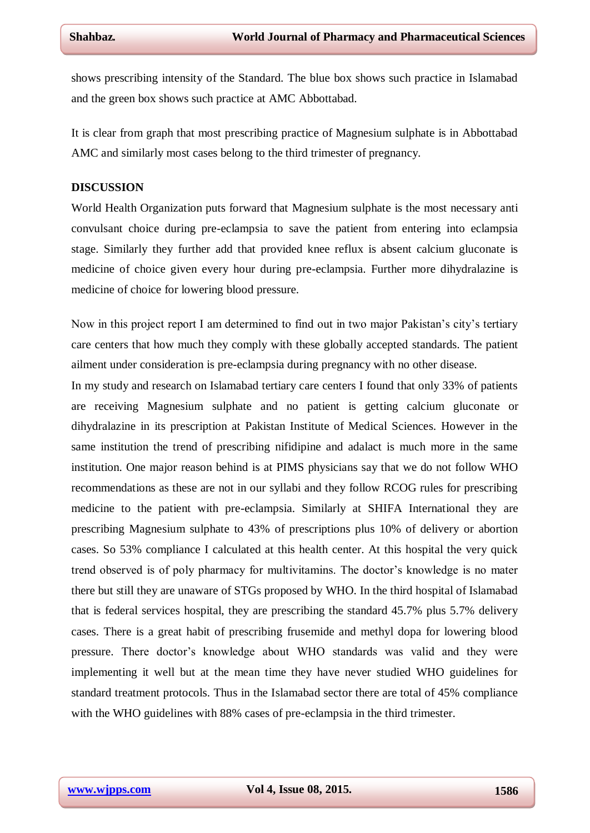shows prescribing intensity of the Standard. The blue box shows such practice in Islamabad and the green box shows such practice at AMC Abbottabad.

It is clear from graph that most prescribing practice of Magnesium sulphate is in Abbottabad AMC and similarly most cases belong to the third trimester of pregnancy.

## **DISCUSSION**

World Health Organization puts forward that Magnesium sulphate is the most necessary anti convulsant choice during pre-eclampsia to save the patient from entering into eclampsia stage. Similarly they further add that provided knee reflux is absent calcium gluconate is medicine of choice given every hour during pre-eclampsia. Further more dihydralazine is medicine of choice for lowering blood pressure.

Now in this project report I am determined to find out in two major Pakistan's city's tertiary care centers that how much they comply with these globally accepted standards. The patient ailment under consideration is pre-eclampsia during pregnancy with no other disease.

In my study and research on Islamabad tertiary care centers I found that only 33% of patients are receiving Magnesium sulphate and no patient is getting calcium gluconate or dihydralazine in its prescription at Pakistan Institute of Medical Sciences. However in the same institution the trend of prescribing nifidipine and adalact is much more in the same institution. One major reason behind is at PIMS physicians say that we do not follow WHO recommendations as these are not in our syllabi and they follow RCOG rules for prescribing medicine to the patient with pre-eclampsia. Similarly at SHIFA International they are prescribing Magnesium sulphate to 43% of prescriptions plus 10% of delivery or abortion cases. So 53% compliance I calculated at this health center. At this hospital the very quick trend observed is of poly pharmacy for multivitamins. The doctor's knowledge is no mater there but still they are unaware of STGs proposed by WHO. In the third hospital of Islamabad that is federal services hospital, they are prescribing the standard 45.7% plus 5.7% delivery cases. There is a great habit of prescribing frusemide and methyl dopa for lowering blood pressure. There doctor's knowledge about WHO standards was valid and they were implementing it well but at the mean time they have never studied WHO guidelines for standard treatment protocols. Thus in the Islamabad sector there are total of 45% compliance with the WHO guidelines with 88% cases of pre-eclampsia in the third trimester.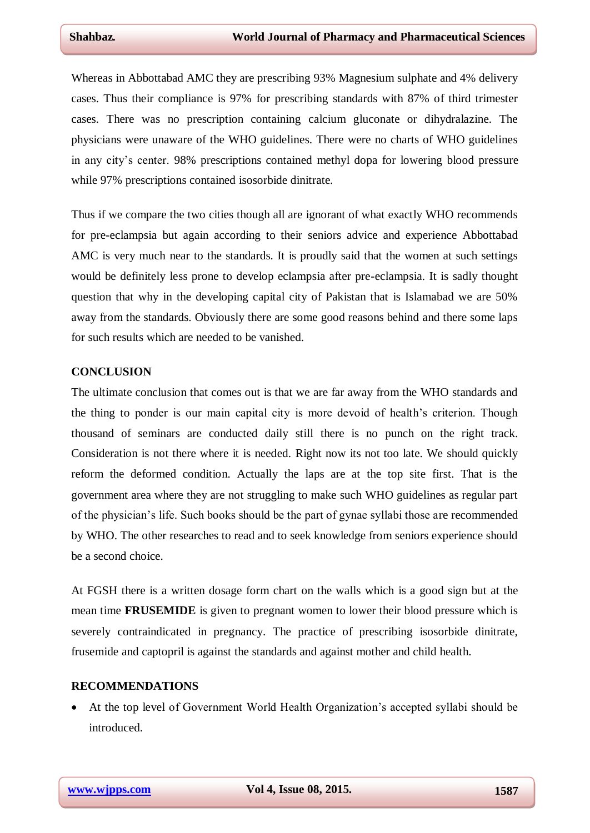Whereas in Abbottabad AMC they are prescribing 93% Magnesium sulphate and 4% delivery cases. Thus their compliance is 97% for prescribing standards with 87% of third trimester cases. There was no prescription containing calcium gluconate or dihydralazine. The physicians were unaware of the WHO guidelines. There were no charts of WHO guidelines in any city's center. 98% prescriptions contained methyl dopa for lowering blood pressure while 97% prescriptions contained isosorbide dinitrate.

Thus if we compare the two cities though all are ignorant of what exactly WHO recommends for pre-eclampsia but again according to their seniors advice and experience Abbottabad AMC is very much near to the standards. It is proudly said that the women at such settings would be definitely less prone to develop eclampsia after pre-eclampsia. It is sadly thought question that why in the developing capital city of Pakistan that is Islamabad we are 50% away from the standards. Obviously there are some good reasons behind and there some laps for such results which are needed to be vanished.

## **CONCLUSION**

The ultimate conclusion that comes out is that we are far away from the WHO standards and the thing to ponder is our main capital city is more devoid of health's criterion. Though thousand of seminars are conducted daily still there is no punch on the right track. Consideration is not there where it is needed. Right now its not too late. We should quickly reform the deformed condition. Actually the laps are at the top site first. That is the government area where they are not struggling to make such WHO guidelines as regular part of the physician's life. Such books should be the part of gynae syllabi those are recommended by WHO. The other researches to read and to seek knowledge from seniors experience should be a second choice.

At FGSH there is a written dosage form chart on the walls which is a good sign but at the mean time **FRUSEMIDE** is given to pregnant women to lower their blood pressure which is severely contraindicated in pregnancy. The practice of prescribing isosorbide dinitrate, frusemide and captopril is against the standards and against mother and child health.

#### **RECOMMENDATIONS**

 At the top level of Government World Health Organization's accepted syllabi should be introduced.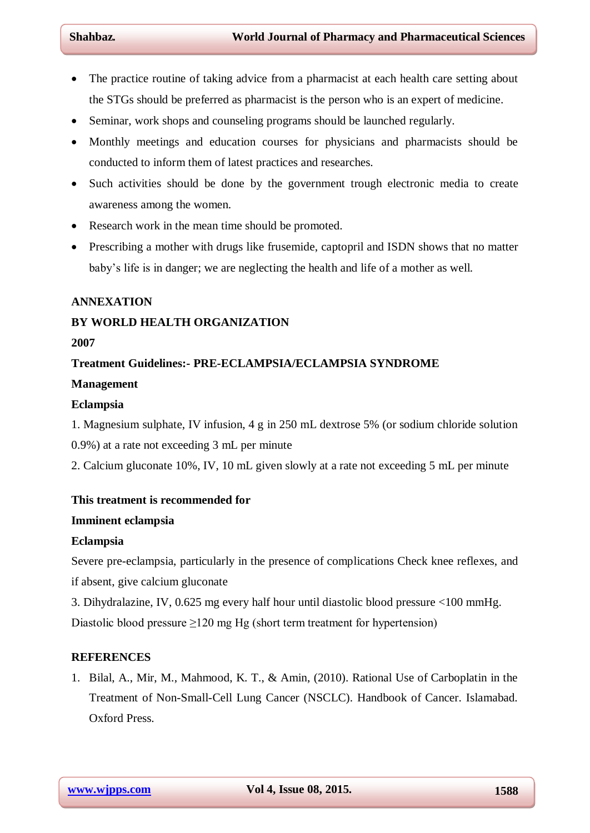- The practice routine of taking advice from a pharmacist at each health care setting about the STGs should be preferred as pharmacist is the person who is an expert of medicine.
- Seminar, work shops and counseling programs should be launched regularly.
- Monthly meetings and education courses for physicians and pharmacists should be conducted to inform them of latest practices and researches.
- Such activities should be done by the government trough electronic media to create awareness among the women.
- Research work in the mean time should be promoted.
- Prescribing a mother with drugs like frusemide, captopril and ISDN shows that no matter baby's life is in danger; we are neglecting the health and life of a mother as well.

## **ANNEXATION**

## **BY WORLD HEALTH ORGANIZATION**

## **2007**

## **Treatment Guidelines:- PRE-ECLAMPSIA/ECLAMPSIA SYNDROME**

## **Management**

## **Eclampsia**

- 1. Magnesium sulphate, IV infusion, 4 g in 250 mL dextrose 5% (or sodium chloride solution
- 0.9%) at a rate not exceeding 3 mL per minute
- 2. Calcium gluconate 10%, IV, 10 mL given slowly at a rate not exceeding 5 mL per minute

## **This treatment is recommended for**

## **Imminent eclampsia**

## **Eclampsia**

Severe pre-eclampsia, particularly in the presence of complications Check knee reflexes, and if absent, give calcium gluconate

3. Dihydralazine, IV, 0.625 mg every half hour until diastolic blood pressure <100 mmHg. Diastolic blood pressure  $\geq$ 120 mg Hg (short term treatment for hypertension)

## **REFERENCES**

1. Bilal, A., Mir, M., Mahmood, K. T., & Amin, (2010). Rational Use of Carboplatin in the Treatment of Non-Small-Cell Lung Cancer (NSCLC). Handbook of Cancer. Islamabad. Oxford Press.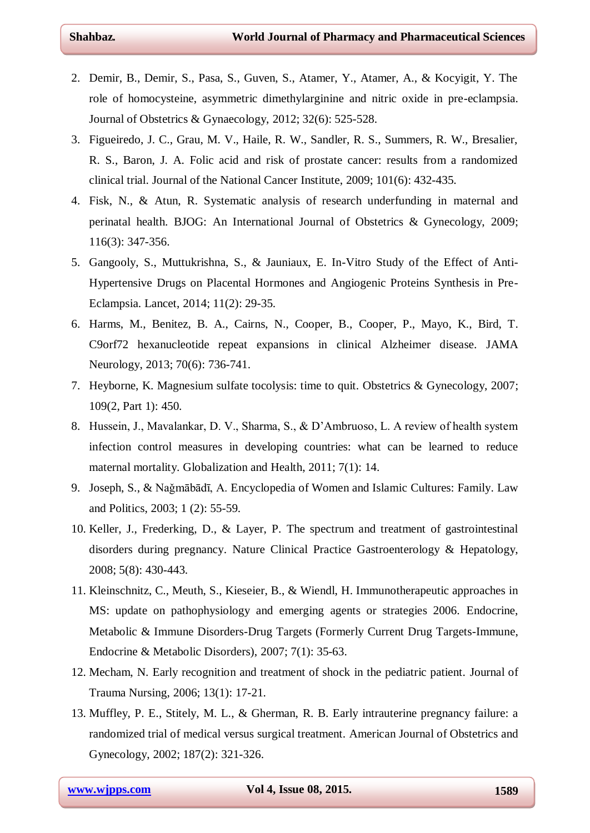- 2. Demir, B., Demir, S., Pasa, S., Guven, S., Atamer, Y., Atamer, A., & Kocyigit, Y. The role of homocysteine, asymmetric dimethylarginine and nitric oxide in pre-eclampsia. Journal of Obstetrics & Gynaecology, 2012; 32(6): 525-528.
- 3. Figueiredo, J. C., Grau, M. V., Haile, R. W., Sandler, R. S., Summers, R. W., Bresalier, R. S., Baron, J. A. Folic acid and risk of prostate cancer: results from a randomized clinical trial. Journal of the National Cancer Institute, 2009; 101(6): 432-435.
- 4. Fisk, N., & Atun, R. Systematic analysis of research underfunding in maternal and perinatal health. BJOG: An International Journal of Obstetrics & Gynecology, 2009; 116(3): 347-356.
- 5. Gangooly, S., Muttukrishna, S., & Jauniaux, E. In-Vitro Study of the Effect of Anti-Hypertensive Drugs on Placental Hormones and Angiogenic Proteins Synthesis in Pre-Eclampsia. Lancet, 2014; 11(2): 29-35.
- 6. Harms, M., Benitez, B. A., Cairns, N., Cooper, B., Cooper, P., Mayo, K., Bird, T. C9orf72 hexanucleotide repeat expansions in clinical Alzheimer disease. JAMA Neurology, 2013; 70(6): 736-741.
- 7. Heyborne, K. Magnesium sulfate tocolysis: time to quit. Obstetrics & Gynecology, 2007; 109(2, Part 1): 450.
- 8. Hussein, J., Mavalankar, D. V., Sharma, S., & D'Ambruoso, L. A review of health system infection control measures in developing countries: what can be learned to reduce maternal mortality. Globalization and Health, 2011; 7(1): 14.
- 9. Joseph, S., & Naǧmābādī, A. Encyclopedia of Women and Islamic Cultures: Family. Law and Politics, 2003; 1 (2): 55-59.
- 10. Keller, J., Frederking, D., & Layer, P. The spectrum and treatment of gastrointestinal disorders during pregnancy. Nature Clinical Practice Gastroenterology & Hepatology, 2008; 5(8): 430-443.
- 11. Kleinschnitz, C., Meuth, S., Kieseier, B., & Wiendl, H. Immunotherapeutic approaches in MS: update on pathophysiology and emerging agents or strategies 2006. Endocrine, Metabolic & Immune Disorders-Drug Targets (Formerly Current Drug Targets-Immune, Endocrine & Metabolic Disorders), 2007; 7(1): 35-63.
- 12. Mecham, N. Early recognition and treatment of shock in the pediatric patient. Journal of Trauma Nursing, 2006; 13(1): 17-21.
- 13. Muffley, P. E., Stitely, M. L., & Gherman, R. B. Early intrauterine pregnancy failure: a randomized trial of medical versus surgical treatment. American Journal of Obstetrics and Gynecology, 2002; 187(2): 321-326.